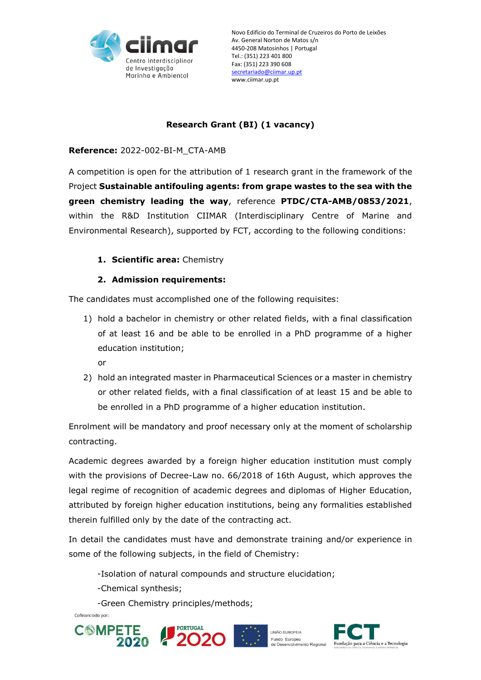

## **Research Grant (BI) (1 vacancy)**

### **Reference:** 2022-002-BI-M\_CTA-AMB

A competition is open for the attribution of 1 research grant in the framework of the Project **Sustainable antifouling agents: from grape wastes to the sea with the green chemistry leading the way**, reference **PTDC/CTA-AMB/0853/2021**, within the R&D Institution CIIMAR (Interdisciplinary Centre of Marine and Environmental Research), supported by FCT, according to the following conditions:

## **1. Scientific area:** Chemistry

### **2. Admission requirements:**

The candidates must accomplished one of the following requisites:

- 1) hold a bachelor in chemistry or other related fields, with a final classification of at least 16 and be able to be enrolled in a PhD programme of a higher education institution;
	- or
- 2) hold an integrated master in Pharmaceutical Sciences or a master in chemistry or other related fields, with a final classification of at least 15 and be able to be enrolled in a PhD programme of a higher education institution.

Enrolment will be mandatory and proof necessary only at the moment of scholarship contracting.

Academic degrees awarded by a foreign higher education institution must comply with the provisions of Decree-Law no. 66/2018 of 16th August, which approves the legal regime of recognition of academic degrees and diplomas of Higher Education, attributed by foreign higher education institutions, being any formalities established therein fulfilled only by the date of the contracting act.

In detail the candidates must have and demonstrate training and/or experience in some of the following subjects, in the field of Chemistry:

-Isolation of natural compounds and structure elucidation;

- -Chemical synthesis;
- -Green Chemistry principles/methods;

Cofinanciado por:







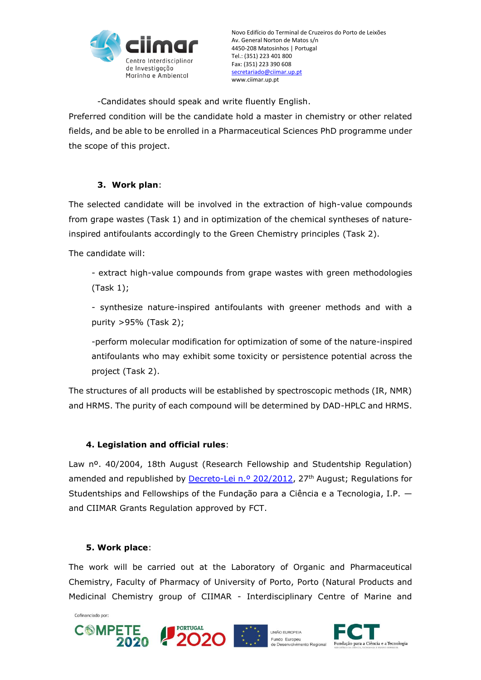

Novo Edifício do Terminal de Cruzeiros do Porto de Leixões Av. General Norton de Matos s/n 4450-208 Matosinhos | Portugal Tel.: (351) 223 401 800 Fax: (351) 223 390 608 [secretariado@ciimar.up.pt](mailto:secretariado@ciimar.up.pt) www.ciimar.up.pt

-Candidates should speak and write fluently English. Preferred condition will be the candidate hold a master in chemistry or other related fields, and be able to be enrolled in a Pharmaceutical Sciences PhD programme under the scope of this project.

## **3. Work plan**:

The selected candidate will be involved in the extraction of high-value compounds from grape wastes (Task 1) and in optimization of the chemical syntheses of natureinspired antifoulants accordingly to the Green Chemistry principles (Task 2).

The candidate will:

- extract high-value compounds from grape wastes with green methodologies (Task 1);

- synthesize nature-inspired antifoulants with greener methods and with a purity >95% (Task 2);

-perform molecular modification for optimization of some of the nature-inspired antifoulants who may exhibit some toxicity or persistence potential across the project (Task 2).

The structures of all products will be established by spectroscopic methods (IR, NMR) and HRMS. The purity of each compound will be determined by DAD-HPLC and HRMS.

## **4. Legislation and official rules**:

Law n<sup>o</sup>. 40/2004, 18th August (Research Fellowship and Studentship Regulation) amended and republished by [Decreto-Lei n.º 202/2012,](http://dre.pt/pdf1sdip/2012/08/16500/0471704724.pdf) 27<sup>th</sup> August; Regulations for Studentships and Fellowships of the Fundação para a Ciência e a Tecnologia, I.P. and CIIMAR Grants Regulation approved by FCT.

#### **5. Work place**:

The work will be carried out at the Laboratory of Organic and Pharmaceutical Chemistry, Faculty of Pharmacy of University of Porto, Porto (Natural Products and Medicinal Chemistry group of CIIMAR - Interdisciplinary Centre of Marine and

Cofinanciado por:



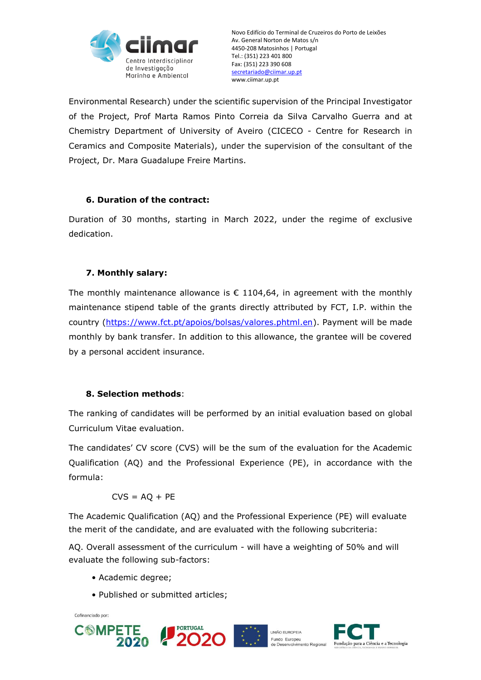

Environmental Research) under the scientific supervision of the Principal Investigator of the Project, Prof Marta Ramos Pinto Correia da Silva Carvalho Guerra and at Chemistry Department of University of Aveiro (CICECO - Centre for Research in Ceramics and Composite Materials), under the supervision of the consultant of the Project, Dr. Mara Guadalupe Freire Martins.

## **6. Duration of the contract:**

Duration of 30 months, starting in March 2022, under the regime of exclusive dedication.

# **7. Monthly salary:**

The monthly maintenance allowance is  $\epsilon$  1104,64, in agreement with the monthly maintenance stipend table of the grants directly attributed by FCT, I.P. within the country [\(https://www.fct.pt/apoios/bolsas/valores.phtml.en\)](https://www.fct.pt/apoios/bolsas/valores.phtml.en). Payment will be made monthly by bank transfer. In addition to this allowance, the grantee will be covered by a personal accident insurance.

# **8. Selection methods**:

The ranking of candidates will be performed by an initial evaluation based on global Curriculum Vitae evaluation.

The candidates' CV score (CVS) will be the sum of the evaluation for the Academic Qualification (AQ) and the Professional Experience (PE), in accordance with the formula:

 $CVS = AO + PE$ 

The Academic Qualification (AQ) and the Professional Experience (PE) will evaluate the merit of the candidate, and are evaluated with the following subcriteria:

AQ. Overall assessment of the curriculum - will have a weighting of 50% and will evaluate the following sub-factors:

- Academic degree;
- Published or submitted articles;

Cofinanciado por:





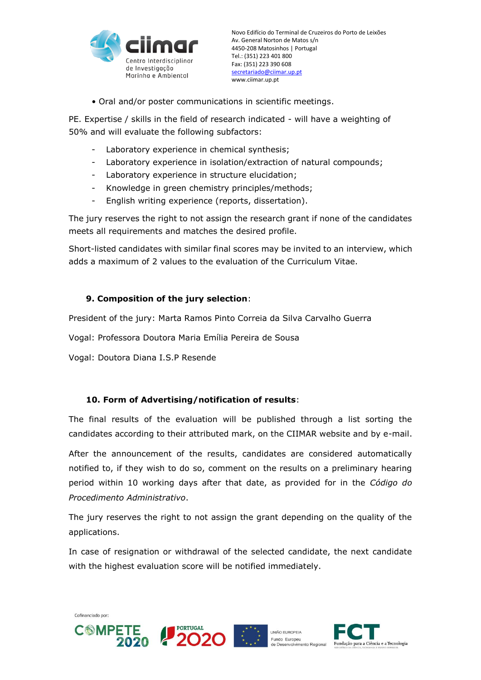

• Oral and/or poster communications in scientific meetings.

PE. Expertise / skills in the field of research indicated - will have a weighting of 50% and will evaluate the following subfactors:

- Laboratory experience in chemical synthesis;
- Laboratory experience in isolation/extraction of natural compounds;
- Laboratory experience in structure elucidation;
- Knowledge in green chemistry principles/methods;
- English writing experience (reports, dissertation).

The jury reserves the right to not assign the research grant if none of the candidates meets all requirements and matches the desired profile.

Short-listed candidates with similar final scores may be invited to an interview, which adds a maximum of 2 values to the evaluation of the Curriculum Vitae.

## **9. Composition of the jury selection**:

President of the jury: Marta Ramos Pinto Correia da Silva Carvalho Guerra

Vogal: Professora Doutora Maria Emília Pereira de Sousa

Vogal: Doutora Diana I.S.P Resende

## **10. Form of Advertising/notification of results**:

The final results of the evaluation will be published through a list sorting the candidates according to their attributed mark, on the CIIMAR website and by e-mail.

After the announcement of the results, candidates are considered automatically notified to, if they wish to do so, comment on the results on a preliminary hearing period within 10 working days after that date, as provided for in the *Código do Procedimento Administrativo*.

The jury reserves the right to not assign the grant depending on the quality of the applications.

In case of resignation or withdrawal of the selected candidate, the next candidate with the highest evaluation score will be notified immediately.

Cofinanciado por:

**COMPETE**